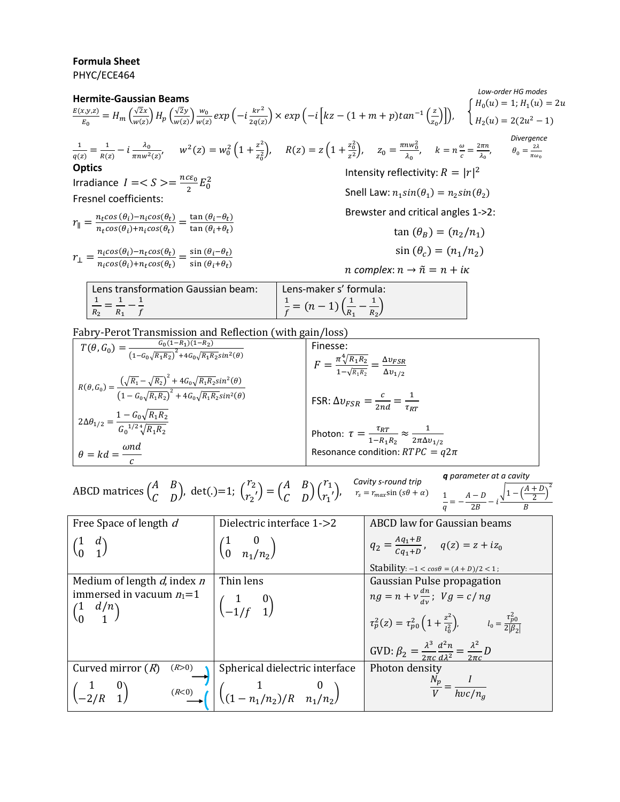## **Formula Sheet** PHYC/ECE464

Intensity reflectivity:  $R = |r|^2$ Snell Law:  $n_1 sin(\theta_1)$ Brewster and critical angles 1->2: *n* complex:  $n \rightarrow \tilde{n} = n + i\kappa$  $\tan (\theta_R) = (n_2/n_1)$  $sin(\theta_c) = (n_1/n_2)$  $H_0(u) = 1; H_1(u)$  $\frac{E(x,y,z)}{E_0} = H_m\left(\frac{\sqrt{2}x}{w(z)}\right)H_p\left(\frac{\sqrt{2}y}{w(z)}\right)\frac{w_0}{w(z)}exp\left(-i\frac{kr^2}{2q(z)}\right) \times exp\left(-i\left[kz-(1+m+p)tan^{-1}\left(\frac{z}{z_0}\right)\right]\right), \quad \left\{\begin{array}{c}W\\H_2(u)=2(2u^2)\end{array}\right\}$ **Hermite-Gaussian Beams**  $\frac{(x,y,z)}{E_0} = H_m \left( \frac{\sqrt{x}}{w} \right)$  $\frac{\sqrt{2x}}{w(z)}H_p\left(\frac{\sqrt{2x}}{w}\right)$  $\frac{\sqrt{2}y}{w(z)}\bigg)\frac{w}{w(z)}$  $\frac{w_0}{w(z)}$ exp $\left(-i\frac{kr^2}{2q(z)}\right)$  $\frac{k r^2}{2q(z)}$   $\times$   $exp\left(-i\left[kz-(1+m+p)tan^{-1}\left(\frac{z}{z}\right)\right]\right)$  $\frac{2}{z_0}$ )]),  $\mathbf{1}$  $\frac{1}{q(z)} = \frac{1}{R(z)}$  $rac{1}{R(z)} - i \frac{\lambda}{\pi n w}$  $\frac{\lambda_0}{\pi n w^2(z)}$ ,  $w^2(z) = w_0^2 \left(1 + \frac{z^2}{z_0^2}\right)$  $\frac{z^2}{z_0^2}$ ,  $R(z) = z \left(1 + \frac{z_0^2}{z^2}\right)$  $\left(\frac{z_0^2}{z^2}\right)$ ,  $z_0 = \frac{\pi n w_0^2}{\lambda_0}$  $\frac{n w_0^2}{\lambda_0}$ ,  $k = n \frac{\omega}{c}$  $\frac{\omega}{c} = \frac{2}{a}$  $\frac{\partial \pi n}{\partial_0}, \qquad \theta_0 = \frac{2}{\pi \alpha}$  $\pi$ **Optics** Irradiance  $I = S$   $> = \frac{n}{s}$  $\frac{c\epsilon_0}{2}E_0^2$ Fresnel coefficients:  $r_{\parallel} = \frac{n_t \cos{(\theta_i)} - n_i \cos(\theta_t)}{n_t \cos{(\theta_i)} + n_i \cos{(\theta_i)}}$  $\frac{n_t \cos(\theta_i) - n_i \cos(\theta_t)}{n_t \cos(\theta_i) + n_i \cos(\theta_t)} = \frac{\tan(\theta_i - \theta_t)}{\tan(\theta_i + \theta_t)}$  $\frac{\tan(\theta_i - \theta_t)}{\tan(\theta_i + \theta_t)}$  $r_{\perp} = \frac{n_i cos(\theta_i) - n_t cos(\theta_t)}{n_i cos(\theta_i) + n_i cos(\theta_i)}$  $\frac{n_i cos(\theta_i) - n_t cos(\theta_t)}{n_i cos(\theta_i) + n_t cos(\theta_t)} = \frac{\sin (\theta_i - \theta_t)}{\sin (\theta_i + \theta_t)}$  $\frac{\sin(\theta_i - \theta_t)}{\sin(\theta_i + \theta_t)}$ Lens transformation Gaussian beam:  $\mathbf{1}$  $\frac{1}{R_2} = \frac{1}{R_2}$  $\frac{1}{R_1} - \frac{1}{f}$ Lens-maker s' formula:  $\mathbf{1}$  $\frac{1}{f} = (n-1) \left( \frac{1}{R} \right)$  $\frac{1}{R_1} - \frac{1}{R_2}$ *Divergence Low-order HG modes*

 $\frac{1}{R_2}$ 

Fabry-Perot Transmission and Reflection (with gain/loss)

f

| $T(\theta, G_0) = \frac{G_0(1 - R_1)(1 - R_2)}{(1 - G_0 \sqrt{R_1 R_2})^2 + 4G_0 \sqrt{R_1 R_2} sin^2(\theta)}$                                                         | Finesse:                                                                                       |
|-------------------------------------------------------------------------------------------------------------------------------------------------------------------------|------------------------------------------------------------------------------------------------|
|                                                                                                                                                                         | $F = \frac{\pi \sqrt[4]{R_1 R_2}}{1 - \sqrt{R_1 R_2}} = \frac{\Delta v_{FSR}}{\Delta v_{1/2}}$ |
|                                                                                                                                                                         |                                                                                                |
| $R(\theta, G_0) = \frac{\left(\sqrt{R_1} - \sqrt{R_2}\right)^2 + 4G_0\sqrt{R_1R_2}sin^2(\theta)}{\left(1 - G_0\sqrt{R_1R_2}\right)^2 + 4G_0\sqrt{R_1R_2}sin^2(\theta)}$ |                                                                                                |
|                                                                                                                                                                         | FSR: $\Delta v_{FSR} = \frac{c}{2nd} = \frac{1}{\tau_{RT}}$                                    |
|                                                                                                                                                                         |                                                                                                |
| $2\Delta\theta_{1/2} = \frac{1-G_0\sqrt{R_1R_2}}{G_0^{1/2}\sqrt[4]{R_1R_2}}$                                                                                            |                                                                                                |
|                                                                                                                                                                         | Photon: $\tau = \frac{\tau_{RT}}{1 - R_1 R_2} \approx \frac{1}{2\pi \Delta v_{1/2}}$           |
| $\theta = kd = \frac{\omega nd}{\omega}$                                                                                                                                | Resonance condition: $RTPC = q2\pi$                                                            |
|                                                                                                                                                                         |                                                                                                |

 $\int_1$  –  $\left(\frac{A}{2}\right)$ 

 $\frac{+D}{2}$ )<sup>2</sup>

*Cavity s-round trip*  $r_{s}$ *q parameter at a cavity*  $\mathbf{1}$  $\frac{1}{q} = -\frac{A}{q}$ ABCD matrices  $\binom{A}{C}$  $\begin{pmatrix} A & B \\ C & D \end{pmatrix}$ , det(.)=1; (  $\overline{r}$  $\binom{r_2}{r_2'} = \binom{A}{C}$  $\begin{pmatrix} A & D \\ C & D \end{pmatrix}$  $\boldsymbol{r}$  $\binom{1}{r_1'}$ 

| $\mathcal{U}$ , $\mathcal{U}$                                                  | $\sqrt{2}$                                           | $\sim$ $\sim$ $\sim$<br>2B                                                                                                                          |
|--------------------------------------------------------------------------------|------------------------------------------------------|-----------------------------------------------------------------------------------------------------------------------------------------------------|
| Free Space of length d                                                         | Dielectric interface 1->2                            | ABCD law for Gaussian beams                                                                                                                         |
|                                                                                | $\begin{pmatrix} 1 & 0 \\ 0 & n_1/n_2 \end{pmatrix}$ | $q_2 = \frac{Aq_1 + B}{Ca_1 + D}$ , $q(z) = z + iz_0$                                                                                               |
|                                                                                |                                                      | Stability: $-1 < cos \theta = (A + D)/2 < 1$ ;                                                                                                      |
| Medium of length $d$ , index $n$                                               | Thin lens                                            | Gaussian Pulse propagation                                                                                                                          |
| immersed in vacuum $n_1=1$<br>$\begin{pmatrix} 1 & d/n \\ 0 & 1 \end{pmatrix}$ | $\begin{pmatrix} 1 & 0 \\ -1/f & 1 \end{pmatrix}$    | $ng = n + v \frac{dn}{dv}$ ; $Vg = c/ng$<br>$\tau_p^2(z) = \tau_{p0}^2 \left(1 + \frac{z^2}{l_0^2}\right), \qquad l_0 = \frac{\tau_{p0}^2}{2 B_2 }$ |
|                                                                                |                                                      | GVD: $\beta_2 = \frac{\lambda^3}{2\pi c} \frac{d^2 n}{d\lambda^2} = \frac{\lambda^2}{2\pi c} D$                                                     |
| Curved mirror $(R)$<br>(R>0)                                                   | Spherical dielectric interface                       | Photon density                                                                                                                                      |
| $\begin{pmatrix} 1 & 0 \\ -2/R & 1 \end{pmatrix}$<br>(R<0)                     | $\binom{1}{(1-n_1/n_2)/R}$ $\binom{0}{n_1/n_2}$      | $\frac{N_p}{V} = \frac{1}{hvc/n_g}$                                                                                                                 |